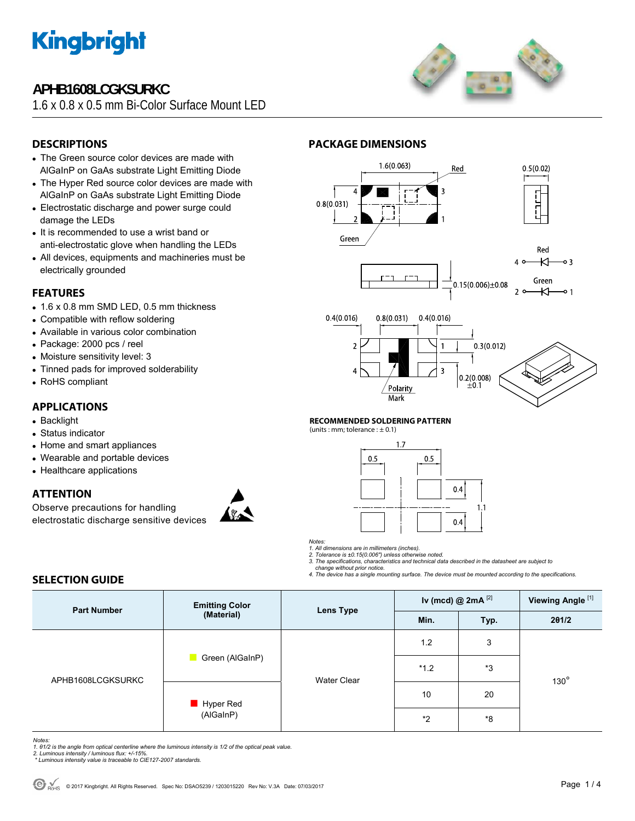

## **APHB1608LCGKSURKC**

1.6 x 0.8 x 0.5 mm Bi-Color Surface Mount LED



### **DESCRIPTIONS**

- The Green source color devices are made with AlGaInP on GaAs substrate Light Emitting Diode
- The Hyper Red source color devices are made with AlGaInP on GaAs substrate Light Emitting Diode
- Electrostatic discharge and power surge could damage the LEDs
- It is recommended to use a wrist band or anti-electrostatic glove when handling the LEDs
- All devices, equipments and machineries must be electrically grounded

### **FEATURES**

- $\bullet$  1.6 x 0.8 mm SMD LED, 0.5 mm thickness
- Compatible with reflow soldering
- Available in various color combination
- Package: 2000 pcs / reel
- Moisture sensitivity level: 3
- Tinned pads for improved solderability
- RoHS compliant

## **APPLICATIONS**

- Backlight
- Status indicator
- Home and smart appliances
- Wearable and portable devices
- Healthcare applications

### **ATTENTION**

Observe precautions for handling electrostatic discharge sensitive devices







### **RECOMMENDED SOLDERING PATTERN**

**PACKAGE DIMENSIONS** 

(units : mm; tolerance :  $\pm$  0.1)



*Notes:* 

*1. All dimensions are in millimeters (inches). 2. Tolerance is ±0.15(0.006") unless otherwise noted.* 

*3. The specifications, characteristics and technical data described in the datasheet are subject to change without prior notice.* 

*4. The device has a single mounting surface. The device must be mounted according to the specifications.* 

### **SELECTION GUIDE**

| <b>Part Number</b> | <b>Emitting Color</b><br>(Material)   | Lens Type          | Iv (mcd) @ $2mA$ <sup>[2]</sup> |      | Viewing Angle <sup>[1]</sup> |  |
|--------------------|---------------------------------------|--------------------|---------------------------------|------|------------------------------|--|
|                    |                                       |                    | Min.                            | Typ. | 201/2                        |  |
| APHB1608LCGKSURKC  | Green (AlGaInP)                       | <b>Water Clear</b> | 1.2                             | 3    |                              |  |
|                    |                                       |                    | $*1.2$                          | *3   | $130^\circ$                  |  |
|                    | $\blacksquare$ Hyper Red<br>(AlGaInP) |                    | 10                              | 20   |                              |  |
|                    |                                       |                    | $*2$                            | *8   |                              |  |

*Notes:* 

1. 01/2 is the angle from optical centerline where the luminous intensity is 1/2 of the optical peak value.<br>2. Luminous intensity / luminous flux: +/-15%.<br>\* Luminous intensity value is traceable to CIE127-2007 standards.

- 
-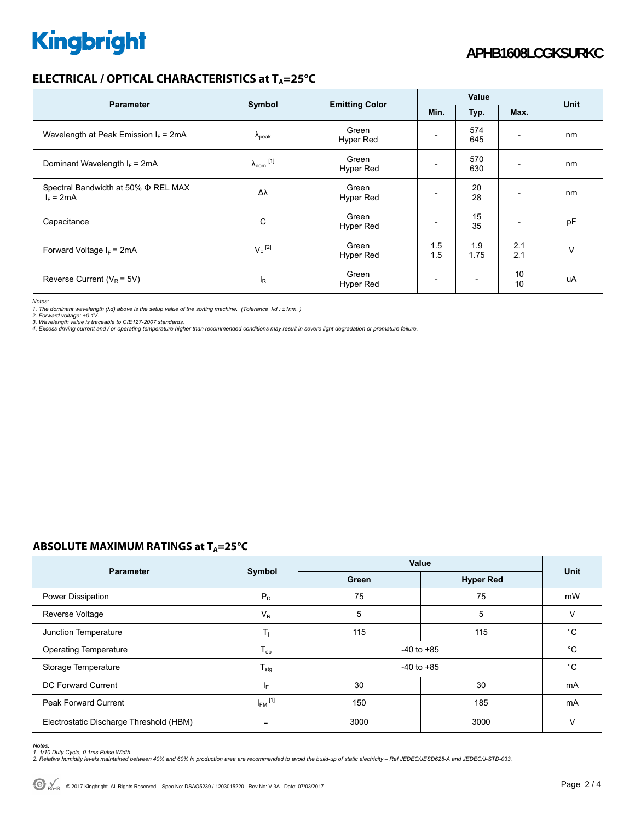## **ELECTRICAL / OPTICAL CHARACTERISTICS at TA=25°C**

| <b>Parameter</b>                                   | Symbol                     | <b>Emitting Color</b>     | Value      |                          |            |             |
|----------------------------------------------------|----------------------------|---------------------------|------------|--------------------------|------------|-------------|
|                                                    |                            |                           | Min.       | Typ.                     | Max.       | <b>Unit</b> |
| Wavelength at Peak Emission $I_F$ = 2mA            | $\Lambda_{\rm peak}$       | Green<br><b>Hyper Red</b> |            | 574<br>645               |            | nm          |
| Dominant Wavelength $I_F$ = 2mA                    | $\lambda_{\text{dom}}$ [1] | Green<br><b>Hyper Red</b> |            | 570<br>630               |            | nm          |
| Spectral Bandwidth at 50% Φ REL MAX<br>$I_F = 2mA$ | Δλ                         | Green<br><b>Hyper Red</b> |            | 20<br>28                 |            | nm          |
| Capacitance                                        | C                          | Green<br><b>Hyper Red</b> |            | 15<br>35                 |            | pF          |
| Forward Voltage $I_F$ = 2mA                        | $V_F$ <sup>[2]</sup>       | Green<br><b>Hyper Red</b> | 1.5<br>1.5 | 1.9<br>1.75              | 2.1<br>2.1 | v           |
| Reverse Current ( $V_R$ = 5V)                      | <sub>R</sub>               | Green<br>Hyper Red        |            | $\overline{\phantom{0}}$ | 10<br>10   | uA          |

*Notes:* 

1. The dominant wavelength (λd) above is the setup value of the sorting machine. (Tolerance λd : ±1nm. )<br>2. Forward voltage: ±0.1V.<br>4. Excess driving current and / or operating temperature higher than recommended conditio

### **ABSOLUTE MAXIMUM RATINGS at T<sub>A</sub>=25°C**

| <b>Parameter</b>                        |                         | Value          | <b>Unit</b>      |    |
|-----------------------------------------|-------------------------|----------------|------------------|----|
|                                         | Symbol                  | Green          | <b>Hyper Red</b> |    |
| Power Dissipation                       | $P_D$                   | 75             | 75               | mW |
| Reverse Voltage                         | $V_{R}$                 | 5              | 5                | v  |
| Junction Temperature                    | T <sub>i</sub>          | 115            | 115              | °C |
| <b>Operating Temperature</b>            | $T_{op}$                | $-40$ to $+85$ | $^{\circ}C$      |    |
| Storage Temperature                     | $T_{\text{stg}}$        | $-40$ to $+85$ | $^{\circ}C$      |    |
| DC Forward Current                      | IF.                     | 30             | 30               | mA |
| <b>Peak Forward Current</b>             | $I_{FM}$ <sup>[1]</sup> | 150            | 185              | mA |
| Electrostatic Discharge Threshold (HBM) |                         | 3000           | 3000             | v  |

Notes:<br>1. 1/10 Duty Cycle, 0.1ms Pulse Width.<br>2. Relative humidity levels maintained between 40% and 60% in production area are recommended to avoid the build-up of static electricity – Ref JEDEC/JESD625-A and JEDEC/J-STD-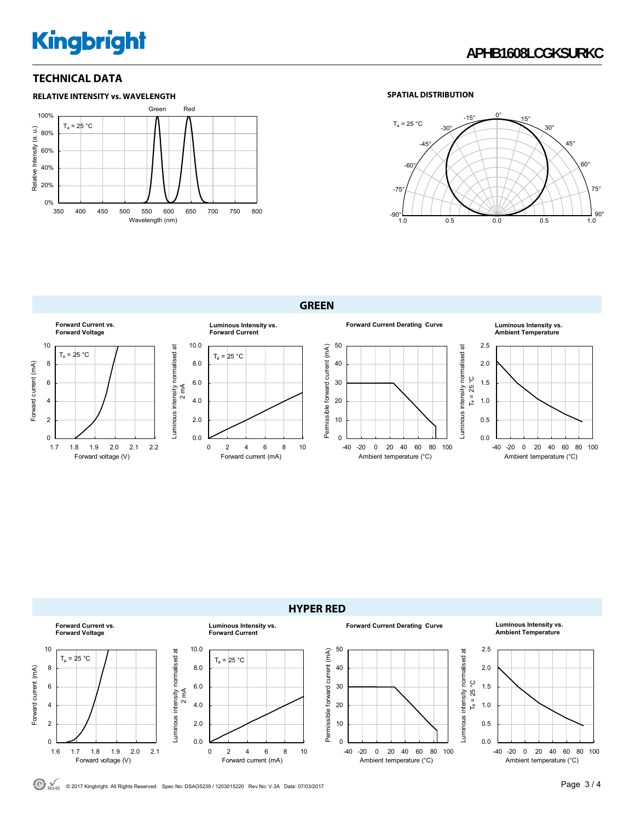# **Kingbright**

### **TECHNICAL DATA**



### **SPATIAL DISTRIBUTION**



**GREEN** 





© <sub>POHS</sub> © 2017 Kingbright. All Rights Reserved. Spec No: DSAO5239 / 1203015220 Rev No: V.3A Date: 07/03/2017 **Page 3 / 4**